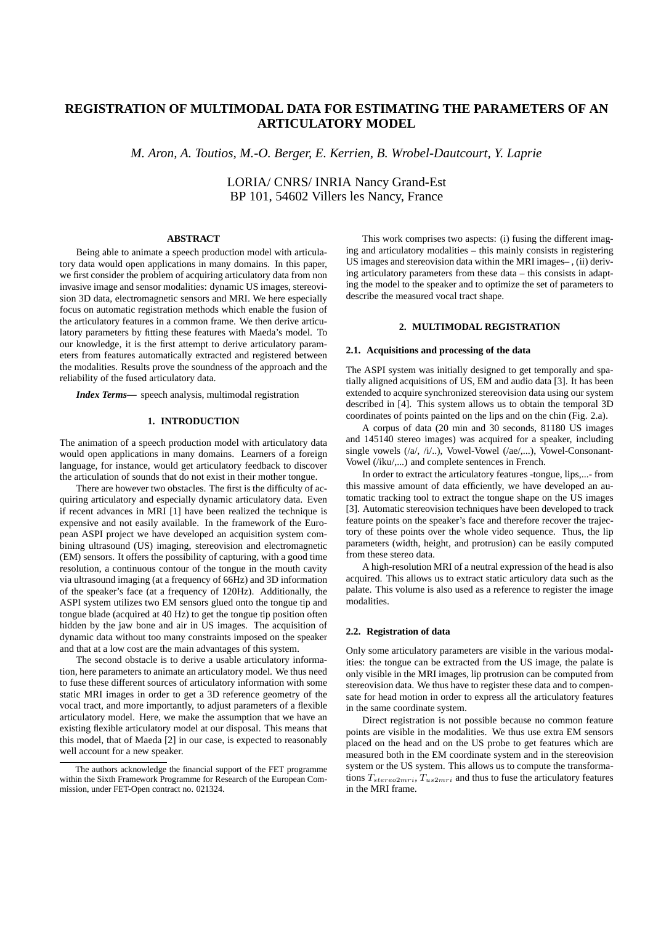# **REGISTRATION OF MULTIMODAL DATA FOR ESTIMATING THE PARAMETERS OF AN ARTICULATORY MODEL**

*M. Aron, A. Toutios, M.-O. Berger, E. Kerrien, B. Wrobel-Dautcourt, Y. Laprie*

LORIA/ CNRS/ INRIA Nancy Grand-Est BP 101, 54602 Villers les Nancy, France

#### **ABSTRACT**

Being able to animate a speech production model with articulatory data would open applications in many domains. In this paper, we first consider the problem of acquiring articulatory data from non invasive image and sensor modalities: dynamic US images, stereovision 3D data, electromagnetic sensors and MRI. We here especially focus on automatic registration methods which enable the fusion of the articulatory features in a common frame. We then derive articulatory parameters by fitting these features with Maeda's model. To our knowledge, it is the first attempt to derive articulatory parameters from features automatically extracted and registered between the modalities. Results prove the soundness of the approach and the reliability of the fused articulatory data.

*Index Terms***—** speech analysis, multimodal registration

# **1. INTRODUCTION**

The animation of a speech production model with articulatory data would open applications in many domains. Learners of a foreign language, for instance, would get articulatory feedback to discover the articulation of sounds that do not exist in their mother tongue.

There are however two obstacles. The first is the difficulty of acquiring articulatory and especially dynamic articulatory data. Even if recent advances in MRI [1] have been realized the technique is expensive and not easily available. In the framework of the European ASPI project we have developed an acquisition system combining ultrasound (US) imaging, stereovision and electromagnetic (EM) sensors. It offers the possibility of capturing, with a good time resolution, a continuous contour of the tongue in the mouth cavity via ultrasound imaging (at a frequency of 66Hz) and 3D information of the speaker's face (at a frequency of 120Hz). Additionally, the ASPI system utilizes two EM sensors glued onto the tongue tip and tongue blade (acquired at 40 Hz) to get the tongue tip position often hidden by the jaw bone and air in US images. The acquisition of dynamic data without too many constraints imposed on the speaker and that at a low cost are the main advantages of this system.

The second obstacle is to derive a usable articulatory information, here parameters to animate an articulatory model. We thus need to fuse these different sources of articulatory information with some static MRI images in order to get a 3D reference geometry of the vocal tract, and more importantly, to adjust parameters of a flexible articulatory model. Here, we make the assumption that we have an existing flexible articulatory model at our disposal. This means that this model, that of Maeda [2] in our case, is expected to reasonably well account for a new speaker.

This work comprises two aspects: (i) fusing the different imaging and articulatory modalities – this mainly consists in registering US images and stereovision data within the MRI images– , (ii) deriving articulatory parameters from these data – this consists in adapting the model to the speaker and to optimize the set of parameters to describe the measured vocal tract shape.

## **2. MULTIMODAL REGISTRATION**

#### **2.1. Acquisitions and processing of the data**

The ASPI system was initially designed to get temporally and spatially aligned acquisitions of US, EM and audio data [3]. It has been extended to acquire synchronized stereovision data using our system described in [4]. This system allows us to obtain the temporal 3D coordinates of points painted on the lips and on the chin (Fig. 2.a).

A corpus of data (20 min and 30 seconds, 81180 US images and 145140 stereo images) was acquired for a speaker, including single vowels (/a/, /i/..), Vowel-Vowel (/ae/,...), Vowel-Consonant-Vowel (/iku/,...) and complete sentences in French.

In order to extract the articulatory features -tongue, lips,...- from this massive amount of data efficiently, we have developed an automatic tracking tool to extract the tongue shape on the US images [3]. Automatic stereovision techniques have been developed to track feature points on the speaker's face and therefore recover the trajectory of these points over the whole video sequence. Thus, the lip parameters (width, height, and protrusion) can be easily computed from these stereo data.

A high-resolution MRI of a neutral expression of the head is also acquired. This allows us to extract static articulory data such as the palate. This volume is also used as a reference to register the image modalities.

#### **2.2. Registration of data**

Only some articulatory parameters are visible in the various modalities: the tongue can be extracted from the US image, the palate is only visible in the MRI images, lip protrusion can be computed from stereovision data. We thus have to register these data and to compensate for head motion in order to express all the articulatory features in the same coordinate system.

Direct registration is not possible because no common feature points are visible in the modalities. We thus use extra EM sensors placed on the head and on the US probe to get features which are measured both in the EM coordinate system and in the stereovision system or the US system. This allows us to compute the transformations  $T_{stereo2mri}$ ,  $T_{us2mri}$  and thus to fuse the articulatory features in the MRI frame.

The authors acknowledge the financial support of the FET programme within the Sixth Framework Programme for Research of the European Commission, under FET-Open contract no. 021324.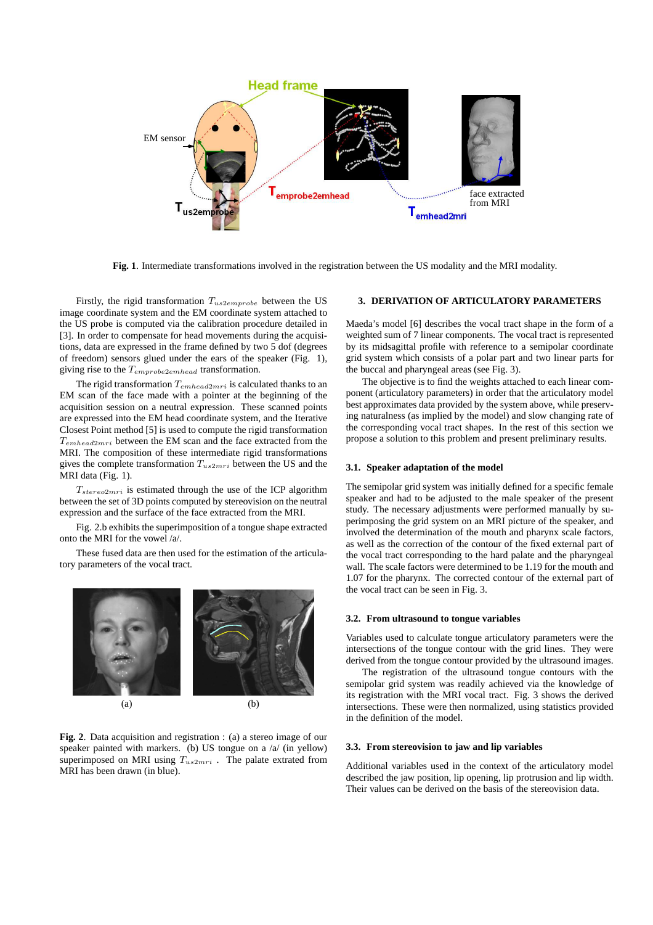

**Fig. 1**. Intermediate transformations involved in the registration between the US modality and the MRI modality.

Firstly, the rigid transformation  $T_{us2emprobe}$  between the US image coordinate system and the EM coordinate system attached to the US probe is computed via the calibration procedure detailed in [3]. In order to compensate for head movements during the acquisitions, data are expressed in the frame defined by two 5 dof (degrees of freedom) sensors glued under the ears of the speaker (Fig. 1), giving rise to the  $T_{\it emprobe2emhead}$  transformation.

The rigid transformation  $T_{embed2mri}$  is calculated thanks to an EM scan of the face made with a pointer at the beginning of the acquisition session on a neutral expression. These scanned points are expressed into the EM head coordinate system, and the Iterative Closest Point method [5] is used to compute the rigid transformation  $T_{embed2mri}$  between the EM scan and the face extracted from the MRI. The composition of these intermediate rigid transformations gives the complete transformation  $T_{us2mri}$  between the US and the MRI data (Fig. 1).

 $T_{stereo2mri}$  is estimated through the use of the ICP algorithm between the set of 3D points computed by stereovision on the neutral expression and the surface of the face extracted from the MRI.

Fig. 2.b exhibits the superimposition of a tongue shape extracted onto the MRI for the vowel /a/.

These fused data are then used for the estimation of the articulatory parameters of the vocal tract.



**Fig. 2**. Data acquisition and registration : (a) a stereo image of our speaker painted with markers. (b) US tongue on a /a/ (in yellow) superimposed on MRI using  $T_{us2mri}$  . The palate extrated from MRI has been drawn (in blue).

## **3. DERIVATION OF ARTICULATORY PARAMETERS**

Maeda's model [6] describes the vocal tract shape in the form of a weighted sum of 7 linear components. The vocal tract is represented by its midsagittal profile with reference to a semipolar coordinate grid system which consists of a polar part and two linear parts for the buccal and pharyngeal areas (see Fig. 3).

The objective is to find the weights attached to each linear component (articulatory parameters) in order that the articulatory model best approximates data provided by the system above, while preserving naturalness (as implied by the model) and slow changing rate of the corresponding vocal tract shapes. In the rest of this section we propose a solution to this problem and present preliminary results.

#### **3.1. Speaker adaptation of the model**

The semipolar grid system was initially defined for a specific female speaker and had to be adjusted to the male speaker of the present study. The necessary adjustments were performed manually by superimposing the grid system on an MRI picture of the speaker, and involved the determination of the mouth and pharynx scale factors, as well as the correction of the contour of the fixed external part of the vocal tract corresponding to the hard palate and the pharyngeal wall. The scale factors were determined to be 1.19 for the mouth and 1.07 for the pharynx. The corrected contour of the external part of the vocal tract can be seen in Fig. 3.

### **3.2. From ultrasound to tongue variables**

Variables used to calculate tongue articulatory parameters were the intersections of the tongue contour with the grid lines. They were derived from the tongue contour provided by the ultrasound images.

The registration of the ultrasound tongue contours with the semipolar grid system was readily achieved via the knowledge of its registration with the MRI vocal tract. Fig. 3 shows the derived intersections. These were then normalized, using statistics provided in the definition of the model.

#### **3.3. From stereovision to jaw and lip variables**

Additional variables used in the context of the articulatory model described the jaw position, lip opening, lip protrusion and lip width. Their values can be derived on the basis of the stereovision data.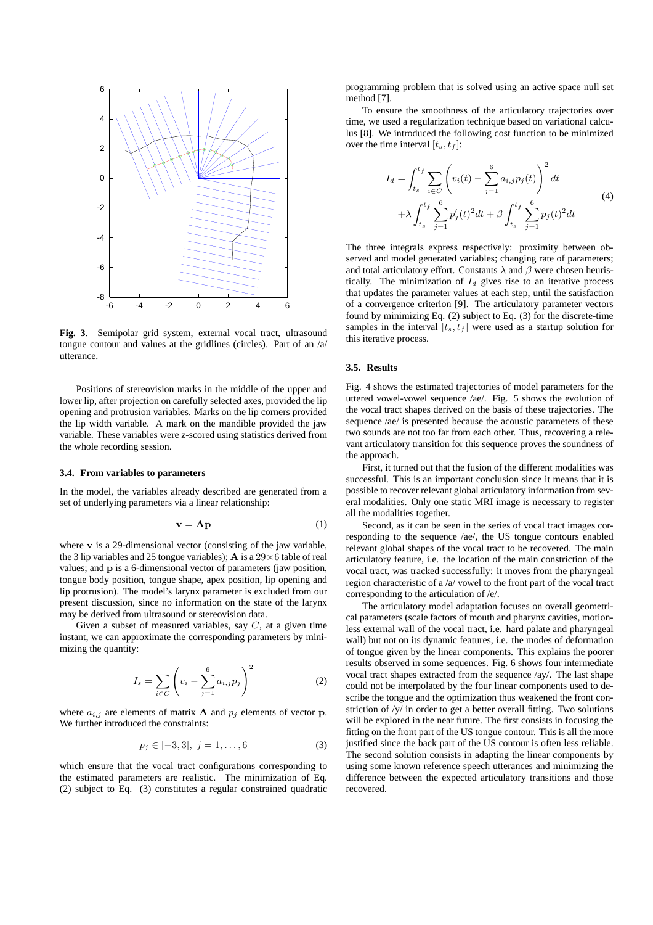

**Fig. 3**. Semipolar grid system, external vocal tract, ultrasound tongue contour and values at the gridlines (circles). Part of an /a/ utterance.

Positions of stereovision marks in the middle of the upper and lower lip, after projection on carefully selected axes, provided the lip opening and protrusion variables. Marks on the lip corners provided the lip width variable. A mark on the mandible provided the jaw variable. These variables were z-scored using statistics derived from the whole recording session.

#### **3.4. From variables to parameters**

In the model, the variables already described are generated from a set of underlying parameters via a linear relationship:

$$
\mathbf{v} = \mathbf{A}\mathbf{p} \tag{1}
$$

where v is a 29-dimensional vector (consisting of the jaw variable, the 3 lip variables and 25 tongue variables); A is a  $29 \times 6$  table of real values; and p is a 6-dimensional vector of parameters (jaw position, tongue body position, tongue shape, apex position, lip opening and lip protrusion). The model's larynx parameter is excluded from our present discussion, since no information on the state of the larynx may be derived from ultrasound or stereovision data.

Given a subset of measured variables, say  $C$ , at a given time instant, we can approximate the corresponding parameters by minimizing the quantity:

$$
I_s = \sum_{i \in C} \left( v_i - \sum_{j=1}^6 a_{i,j} p_j \right)^2
$$
 (2)

where  $a_{i,j}$  are elements of matrix **A** and  $p_i$  elements of vector **p**. We further introduced the constraints:

$$
p_j \in [-3, 3], \ j = 1, \dots, 6 \tag{3}
$$

which ensure that the vocal tract configurations corresponding to the estimated parameters are realistic. The minimization of Eq. (2) subject to Eq. (3) constitutes a regular constrained quadratic

programming problem that is solved using an active space null set method [7].

To ensure the smoothness of the articulatory trajectories over time, we used a regularization technique based on variational calculus [8]. We introduced the following cost function to be minimized over the time interval  $[t_s, t_f]$ :

$$
I_d = \int_{t_s}^{t_f} \sum_{i \in C} \left( v_i(t) - \sum_{j=1}^6 a_{i,j} p_j(t) \right)^2 dt
$$
  
+  $\lambda \int_{t_s}^{t_f} \sum_{j=1}^6 p'_j(t)^2 dt + \beta \int_{t_s}^{t_f} \sum_{j=1}^6 p_j(t)^2 dt$  (4)

The three integrals express respectively: proximity between observed and model generated variables; changing rate of parameters; and total articulatory effort. Constants  $\lambda$  and  $\beta$  were chosen heuristically. The minimization of  $I_d$  gives rise to an iterative process that updates the parameter values at each step, until the satisfaction of a convergence criterion [9]. The articulatory parameter vectors found by minimizing Eq. (2) subject to Eq. (3) for the discrete-time samples in the interval  $[t_s, t_f]$  were used as a startup solution for this iterative process.

# **3.5. Results**

Fig. 4 shows the estimated trajectories of model parameters for the uttered vowel-vowel sequence /ae/. Fig. 5 shows the evolution of the vocal tract shapes derived on the basis of these trajectories. The sequence /ae/ is presented because the acoustic parameters of these two sounds are not too far from each other. Thus, recovering a relevant articulatory transition for this sequence proves the soundness of the approach.

First, it turned out that the fusion of the different modalities was successful. This is an important conclusion since it means that it is possible to recover relevant global articulatory information from several modalities. Only one static MRI image is necessary to register all the modalities together.

Second, as it can be seen in the series of vocal tract images corresponding to the sequence /ae/, the US tongue contours enabled relevant global shapes of the vocal tract to be recovered. The main articulatory feature, i.e. the location of the main constriction of the vocal tract, was tracked successfully: it moves from the pharyngeal region characteristic of a /a/ vowel to the front part of the vocal tract corresponding to the articulation of /e/.

The articulatory model adaptation focuses on overall geometrical parameters (scale factors of mouth and pharynx cavities, motionless external wall of the vocal tract, i.e. hard palate and pharyngeal wall) but not on its dynamic features, i.e. the modes of deformation of tongue given by the linear components. This explains the poorer results observed in some sequences. Fig. 6 shows four intermediate vocal tract shapes extracted from the sequence /ay/. The last shape could not be interpolated by the four linear components used to describe the tongue and the optimization thus weakened the front constriction of  $/y/$  in order to get a better overall fitting. Two solutions will be explored in the near future. The first consists in focusing the fitting on the front part of the US tongue contour. This is all the more justified since the back part of the US contour is often less reliable. The second solution consists in adapting the linear components by using some known reference speech utterances and minimizing the difference between the expected articulatory transitions and those recovered.